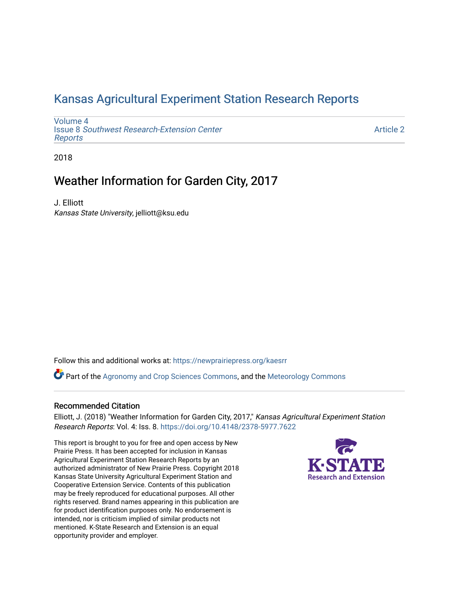## [Kansas Agricultural Experiment Station Research Reports](https://newprairiepress.org/kaesrr)

[Volume 4](https://newprairiepress.org/kaesrr/vol4) Issue 8 [Southwest Research-Extension Center](https://newprairiepress.org/kaesrr/vol4/iss8)  [Reports](https://newprairiepress.org/kaesrr/vol4/iss8)

[Article 2](https://newprairiepress.org/kaesrr/vol4/iss8/2) 

2018

## Weather Information for Garden City, 2017

J. Elliott Kansas State University, jelliott@ksu.edu

Follow this and additional works at: [https://newprairiepress.org/kaesrr](https://newprairiepress.org/kaesrr?utm_source=newprairiepress.org%2Fkaesrr%2Fvol4%2Fiss8%2F2&utm_medium=PDF&utm_campaign=PDFCoverPages) 

Part of the [Agronomy and Crop Sciences Commons,](http://network.bepress.com/hgg/discipline/103?utm_source=newprairiepress.org%2Fkaesrr%2Fvol4%2Fiss8%2F2&utm_medium=PDF&utm_campaign=PDFCoverPages) and the [Meteorology Commons](http://network.bepress.com/hgg/discipline/190?utm_source=newprairiepress.org%2Fkaesrr%2Fvol4%2Fiss8%2F2&utm_medium=PDF&utm_campaign=PDFCoverPages)

#### Recommended Citation

Elliott, J. (2018) "Weather Information for Garden City, 2017," Kansas Agricultural Experiment Station Research Reports: Vol. 4: Iss. 8.<https://doi.org/10.4148/2378-5977.7622>

This report is brought to you for free and open access by New Prairie Press. It has been accepted for inclusion in Kansas Agricultural Experiment Station Research Reports by an authorized administrator of New Prairie Press. Copyright 2018 Kansas State University Agricultural Experiment Station and Cooperative Extension Service. Contents of this publication may be freely reproduced for educational purposes. All other rights reserved. Brand names appearing in this publication are for product identification purposes only. No endorsement is intended, nor is criticism implied of similar products not mentioned. K-State Research and Extension is an equal opportunity provider and employer.

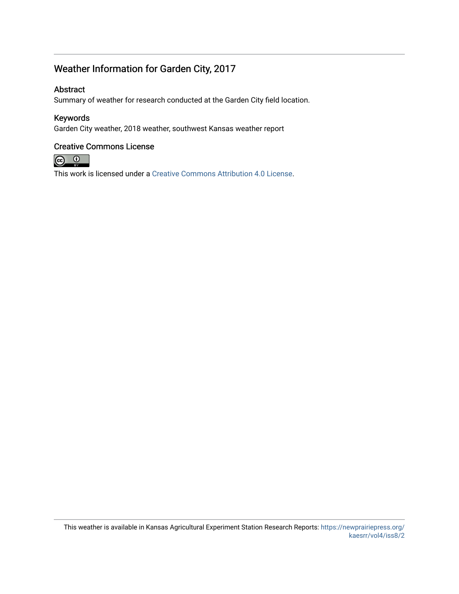## Weather Information for Garden City, 2017

#### Abstract

Summary of weather for research conducted at the Garden City field location.

#### Keywords

Garden City weather, 2018 weather, southwest Kansas weather report

#### Creative Commons License



This work is licensed under a [Creative Commons Attribution 4.0 License](https://creativecommons.org/licenses/by/4.0/).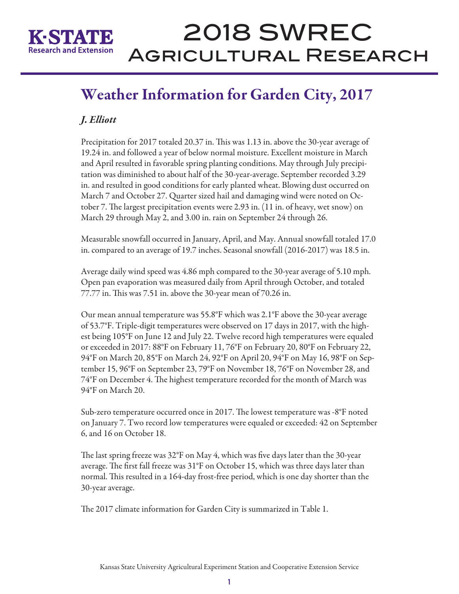

# 2018 SWREC Agricultural Research

## Weather Information for Garden City, 2017

## *J. Elliott*

Precipitation for 2017 totaled 20.37 in. This was 1.13 in. above the 30-year average of 19.24 in. and followed a year of below normal moisture. Excellent moisture in March and April resulted in favorable spring planting conditions. May through July precipitation was diminished to about half of the 30-year-average. September recorded 3.29 in. and resulted in good conditions for early planted wheat. Blowing dust occurred on March 7 and October 27. Quarter sized hail and damaging wind were noted on October 7. The largest precipitation events were 2.93 in. (11 in. of heavy, wet snow) on March 29 through May 2, and 3.00 in. rain on September 24 through 26.

Measurable snowfall occurred in January, April, and May. Annual snowfall totaled 17.0 in. compared to an average of 19.7 inches. Seasonal snowfall (2016-2017) was 18.5 in.

Average daily wind speed was 4.86 mph compared to the 30-year average of 5.10 mph. Open pan evaporation was measured daily from April through October, and totaled 77.77 in. This was 7.51 in. above the 30-year mean of 70.26 in.

Our mean annual temperature was 55.8°F which was 2.1°F above the 30-year average of 53.7°F. Triple-digit temperatures were observed on 17 days in 2017, with the highest being 105°F on June 12 and July 22. Twelve record high temperatures were equaled or exceeded in 2017: 88°F on February 11, 76°F on February 20, 80°F on February 22, 94°F on March 20, 85°F on March 24, 92°F on April 20, 94°F on May 16, 98°F on September 15, 96°F on September 23, 79°F on November 18, 76°F on November 28, and 74°F on December 4. The highest temperature recorded for the month of March was 94°F on March 20.

Sub-zero temperature occurred once in 2017. The lowest temperature was -8°F noted on January 7. Two record low temperatures were equaled or exceeded: 42 on September 6, and 16 on October 18.

The last spring freeze was 32°F on May 4, which was five days later than the 30-year average. The first fall freeze was 31°F on October 15, which was three days later than normal. This resulted in a 164-day frost-free period, which is one day shorter than the 30-year average.

The 2017 climate information for Garden City is summarized in Table 1.